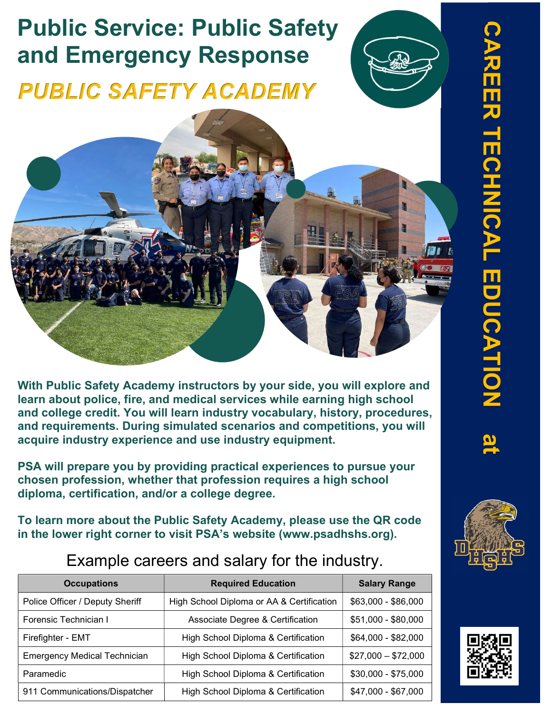## Public Service: Public Safety and Emergency Response



With Public Safety Academy instructors by your side, you will explore and learn about police, fire, and medical services while earning high school and college credit. You will learn industry vocabulary, history, procedures, and requirements. During simulated scenarios and competitions, you will acquire industry experience and use industry equipment.

PSA will prepare you by providing practical experiences to pursue your chosen profession, whether that profession requires a high school diploma, certification, and/or a college degree.

To learn more about the Public Safety Academy, please use the QR code

| <b>Occupations</b>                  | <b>Required Education</b>                 | <b>Salary Range</b> |
|-------------------------------------|-------------------------------------------|---------------------|
| Police Officer / Deputy Sheriff     | High School Diploma or AA & Certification | \$63,000 - \$86,000 |
| Forensic Technician I               | Associate Degree & Certification          | \$51,000 - \$80,000 |
| Firefighter - EMT                   | High School Diploma & Certification       | \$64,000 - \$82,000 |
| <b>Emergency Medical Technician</b> | High School Diploma & Certification       | $$27,000 - $72,000$ |
| Paramedic                           | High School Diploma & Certification       | $$30,000 - $75,000$ |
| 911 Communications/Dispatcher       | High School Diploma & Certification       | \$47,000 - \$67,000 |

### Example careers and salary for the industry.